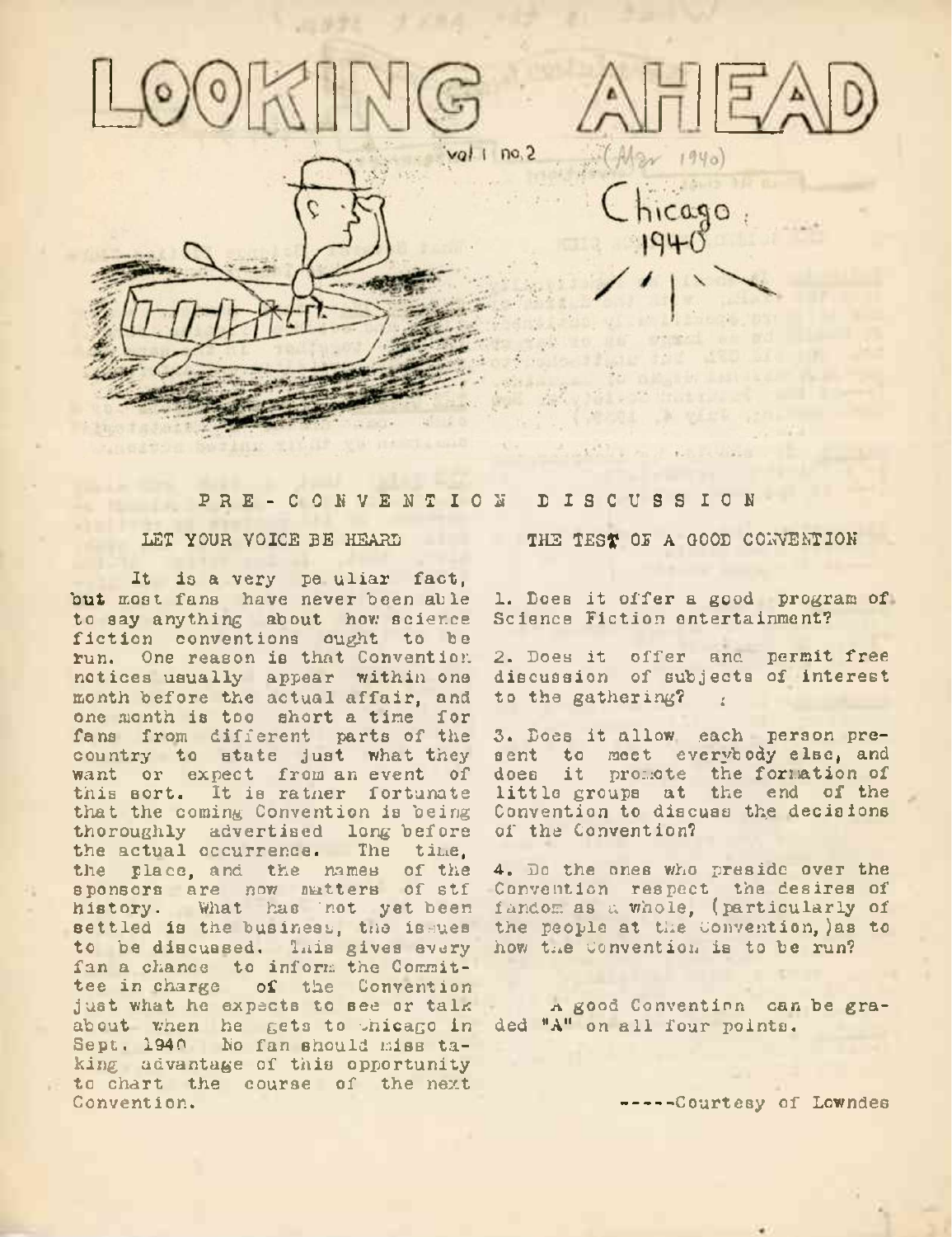

## PRE - CON <sup>V</sup> <sup>E</sup> <sup>N</sup> <sup>T</sup> I <sup>0</sup> <sup>N</sup> DISCUSSION

It is a very pe uliar fact, but most fans have never been able to say anything about how science fiction conventions ought to be run. One reason is that Convention. notices usually appear within one month before the actual affair, and one month is too short a time for fans from different parts of the country to state just what they want or expect from an event of this sort. It is rather fortunate that the coming Convention is being thoroughly advertised long before the actual occurrence. The time, the place, and the names of the sponsors are now matters of stf history. What has 'not yet been settled is the business, the issues to be discussed. Inis gives every fan a chance to inform the Committee in charge of the Convention just what he expects to see or talk -Just when he gets to thicago in ded "A" on all four points. Sept. 1940 No fan should miss taking advantage of this opportunity to chart the course of the next Convention.

LET YOUR VOICE DE HEARD THE TEST OF A GOOD CONVENTION

1. Does it offer <sup>a</sup> good program of Science Fiction entertainment?

2. Does it offer ana permit free discussion of subjects of interest to the gathering?  $\frac{1}{2}$ 

3. Does it allow each person present to meet everybody else, and sent to meet everyoody ene, and<br>does it promote the formation of aces it promote the formation of<br>little groups at the end of the Convention to discuss the decisions of the Convention?

4. Do the ones who preside over the Convention respect the desires of fandom as <sup>u</sup> whole, (particularly of the people at the Convention, ) as to how the convention is to be run?

<sup>h</sup>. good Convention can be gra-

Courtesy of Lowndes